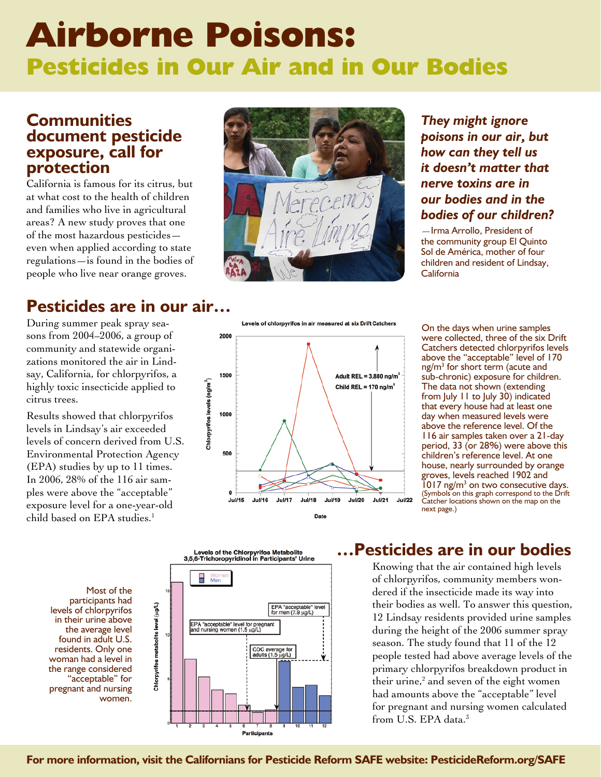# **Airborne Poisons: Pesticides in Our Air and in Our Bodies**

### **Communities document pesticide exposure, call for protection**

California is famous for its citrus, but at what cost to the health of children and families who live in agricultural areas? A new study proves that one of the most hazardous pesticides even when applied according to state regulations—is found in the bodies of people who live near orange groves.

# **Pesticides are in our air…**

During summer peak spray seasons from 2004–2006, a group of community and statewide organizations monitored the air in Lindsay, California, for chlorpyrifos, a highly toxic insecticide applied to citrus trees.

Results showed that chlorpyrifos levels in Lindsay's air exceeded levels of concern derived from U.S. Environmental Protection Agency (EPA) studies by up to 11 times. In 2006, 28% of the 116 air samples were above the "acceptable" exposure level for a one-year-old child based on EPA studies.<sup>1</sup>



*They might ignore poisons in our air, but how can they tell us it doesn't matter that nerve toxins are in our bodies and in the bodies of our children?*

—Irma Arrollo, President of the community group El Quinto Sol de América, mother of four children and resident of Lindsay, California

Levels of chlorpyrifos in air measured at six Drift Catchers



On the days when urine samples were collected, three of the six Drift Catchers detected chlorpyrifos levels above the "acceptable" level of 170 ng/m<sup>3</sup> for short term (acute and sub-chronic) exposure for children. The data not shown (extending from July 11 to July 30) indicated that every house had at least one day when measured levels were above the reference level. Of the 116 air samples taken over a 21-day period, 33 (or 28%) were above this children's reference level. At one house, nearly surrounded by orange groves, levels reached 1902 and  $1017$  ng/m<sup>3</sup> on two consecutive days. (Symbols on this graph correspond to the Drift Catcher locations shown on the map on the next page.)

Most of the participants had levels of chlorpyrifos in their urine above the average level found in adult U.S. residents. Only one woman had a level in the range considered "acceptable" for pregnant and nursing women.



## **…Pesticides are in our bodies**

Knowing that the air contained high levels of chlorpyrifos, community members wondered if the insecticide made its way into their bodies as well. To answer this question, 12 Lindsay residents provided urine samples during the height of the 2006 summer spray season. The study found that 11 of the 12 people tested had above average levels of the primary chlorpyrifos breakdown product in their urine,<sup>2</sup> and seven of the eight women had amounts above the "acceptable" level for pregnant and nursing women calculated from U.S. EPA data.<sup>3</sup>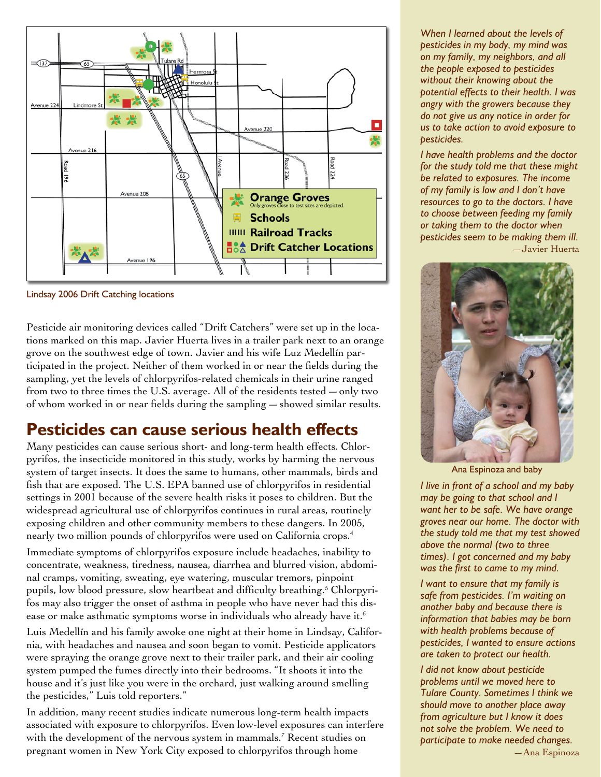

Lindsay 2006 Drift Catching locations

Pesticide air monitoring devices called "Drift Catchers" were set up in the locations marked on this map. Javier Huerta lives in a trailer park next to an orange grove on the southwest edge of town. Javier and his wife Luz Medellín participated in the project. Neither of them worked in or near the fields during the sampling, yet the levels of chlorpyrifos-related chemicals in their urine ranged from two to three times the U.S. average. All of the residents tested—only two of whom worked in or near fields during the sampling—showed similar results.

# **Pesticides can cause serious health effects**

Many pesticides can cause serious short- and long-term health effects. Chlorpyrifos, the insecticide monitored in this study, works by harming the nervous system of target insects. It does the same to humans, other mammals, birds and fish that are exposed. The U.S. EPA banned use of chlorpyrifos in residential settings in 2001 because of the severe health risks it poses to children. But the widespread agricultural use of chlorpyrifos continues in rural areas, routinely exposing children and other community members to these dangers. In 2005, nearly two million pounds of chlorpyrifos were used on California crops.4

Immediate symptoms of chlorpyrifos exposure include headaches, inability to concentrate, weakness, tiredness, nausea, diarrhea and blurred vision, abdominal cramps, vomiting, sweating, eye watering, muscular tremors, pinpoint pupils, low blood pressure, slow heartbeat and difficulty breathing.<sup>5</sup> Chlorpyrifos may also trigger the onset of asthma in people who have never had this disease or make asthmatic symptoms worse in individuals who already have it.<sup>6</sup>

Luis Medellín and his family awoke one night at their home in Lindsay, California, with headaches and nausea and soon began to vomit. Pesticide applicators were spraying the orange grove next to their trailer park, and their air cooling system pumped the fumes directly into their bedrooms. "It shoots it into the house and it's just like you were in the orchard, just walking around smelling the pesticides," Luis told reporters."

In addition, many recent studies indicate numerous long-term health impacts associated with exposure to chlorpyrifos. Even low-level exposures can interfere with the development of the nervous system in mammals.7 Recent studies on pregnant women in New York City exposed to chlorpyrifos through home

*When I learned about the levels of pesticides in my body, my mind was on my family, my neighbors, and all the people exposed to pesticides without their knowing about the potential effects to their health. I was angry with the growers because they do not give us any notice in order for us to take action to avoid exposure to pesticides.* 

*I have health problems and the doctor for the study told me that these might be related to exposures. The income of my family is low and I don't have resources to go to the doctors. I have to choose between feeding my family or taking them to the doctor when pesticides seem to be making them ill.* —Javier Huerta



Ana Espinoza and baby

*I live in front of a school and my baby may be going to that school and I want her to be safe. We have orange groves near our home. The doctor with the study told me that my test showed above the normal (two to three times). I got concerned and my baby was the first to came to my mind.* 

*I want to ensure that my family is safe from pesticides. I'm waiting on another baby and because there is information that babies may be born with health problems because of pesticides, I wanted to ensure actions are taken to protect our health.* 

*I did not know about pesticide problems until we moved here to Tulare County. Sometimes I think we should move to another place away from agriculture but I know it does not solve the problem. We need to participate to make needed changes.* —Ana Espinoza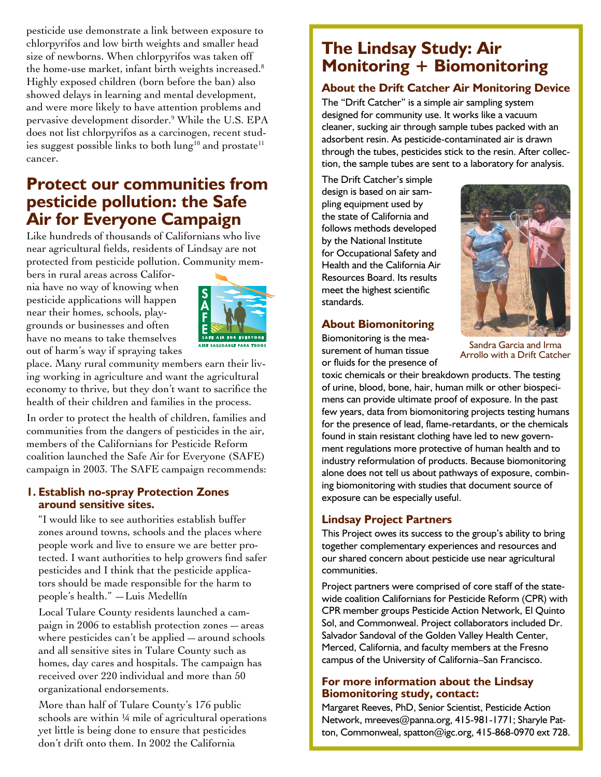pesticide use demonstrate a link between exposure to chlorpyrifos and low birth weights and smaller head size of newborns. When chlorpyrifos was taken off the home-use market, infant birth weights increased.<sup>8</sup> Highly exposed children (born before the ban) also showed delays in learning and mental development, and were more likely to have attention problems and pervasive development disorder.9 While the U.S. EPA does not list chlorpyrifos as a carcinogen, recent studies suggest possible links to both lung<sup>10</sup> and prostate<sup>11</sup> cancer.

# **Protect our communities from pesticide pollution: the Safe Air for Everyone Campaign**

Like hundreds of thousands of Californians who live near agricultural fields, residents of Lindsay are not protected from pesticide pollution. Community mem-

bers in rural areas across California have no way of knowing when pesticide applications will happen near their homes, schools, playgrounds or businesses and often have no means to take themselves out of harm's way if spraying takes



place. Many rural community members earn their living working in agriculture and want the agricultural economy to thrive, but they don't want to sacrifice the health of their children and families in the process.

In order to protect the health of children, families and communities from the dangers of pesticides in the air, members of the Californians for Pesticide Reform coalition launched the Safe Air for Everyone (SAFE) campaign in 2003. The SAFE campaign recommends:

#### **1. Establish no-spray Protection Zones around sensitive sites.**

"I would like to see authorities establish buffer zones around towns, schools and the places where people work and live to ensure we are better protected. I want authorities to help growers find safer pesticides and I think that the pesticide applicators should be made responsible for the harm to people's health." —Luis Medellín

Local Tulare County residents launched a campaign in 2006 to establish protection zones—areas where pesticides can't be applied—around schools and all sensitive sites in Tulare County such as homes, day cares and hospitals. The campaign has received over 220 individual and more than 50 organizational endorsements.

More than half of Tulare County's 176 public schools are within 1/4 mile of agricultural operations yet little is being done to ensure that pesticides don't drift onto them. In 2002 the California

# **The Lindsay Study: Air Monitoring + Biomonitoring**

#### **About the Drift Catcher Air Monitoring Device**

The "Drift Catcher" is a simple air sampling system designed for community use. It works like a vacuum cleaner, sucking air through sample tubes packed with an adsorbent resin. As pesticide-contaminated air is drawn through the tubes, pesticides stick to the resin. After collection, the sample tubes are sent to a laboratory for analysis.

The Drift Catcher's simple design is based on air sampling equipment used by the state of California and follows methods developed by the National Institute for Occupational Safety and Health and the California Air Resources Board. Its results meet the highest scientific standards.

#### **About Biomonitoring**

Biomonitoring is the measurement of human tissue or fluids for the presence of



Sandra Garcia and Irma Arrollo with a Drift Catcher

toxic chemicals or their breakdown products. The testing of urine, blood, bone, hair, human milk or other biospecimens can provide ultimate proof of exposure. In the past few years, data from biomonitoring projects testing humans for the presence of lead, flame-retardants, or the chemicals found in stain resistant clothing have led to new government regulations more protective of human health and to industry reformulation of products. Because biomonitoring alone does not tell us about pathways of exposure, combining biomonitoring with studies that document source of exposure can be especially useful.

#### **Lindsay Project Partners**

This Project owes its success to the group's ability to bring together complementary experiences and resources and our shared concern about pesticide use near agricultural communities.

Project partners were comprised of core staff of the statewide coalition Californians for Pesticide Reform (CPR) with CPR member groups Pesticide Action Network, El Quinto Sol, and Commonweal. Project collaborators included Dr. Salvador Sandoval of the Golden Valley Health Center, Merced, California, and faculty members at the Fresno campus of the University of California–San Francisco.

#### **For more information about the Lindsay Biomonitoring study, contact:**

Margaret Reeves, PhD, Senior Scientist, Pesticide Action Network, mreeves@panna.org, 415-981-1771; Sharyle Patton, Commonweal, spatton@igc.org, 415-868-0970 ext 728.